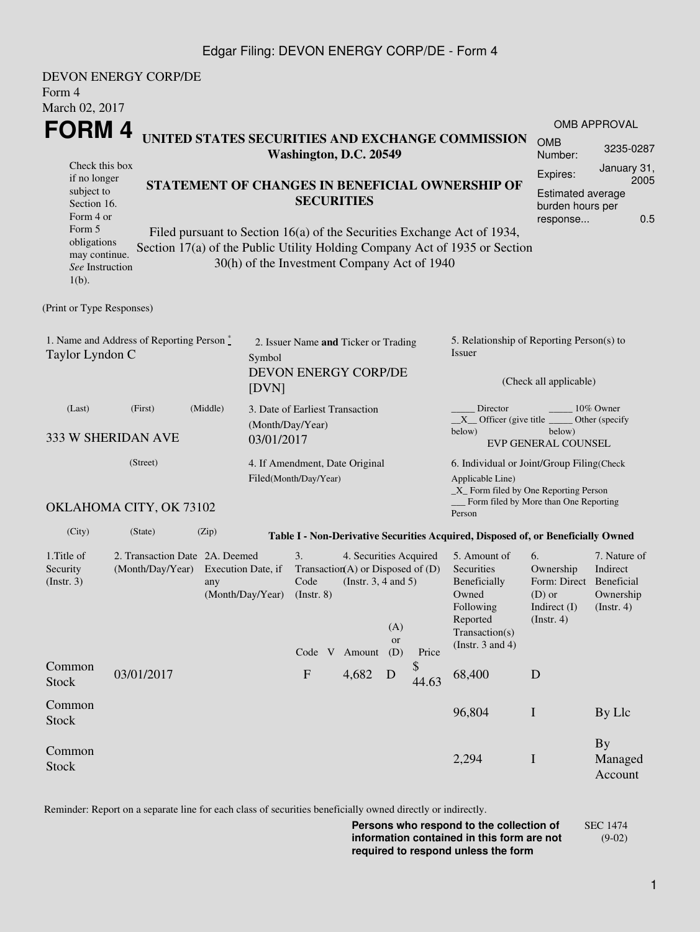## Edgar Filing: DEVON ENERGY CORP/DE - Form 4

| Form 4<br>March 02, 2017                                                                                           | DEVON ENERGY CORP/DE                                               |                                                                                                                                                                                                                                                                                                                                                      |                                                                    |                                                    |                         |             |                                                                                                                         |                                                                                            |                                                           |  |  |
|--------------------------------------------------------------------------------------------------------------------|--------------------------------------------------------------------|------------------------------------------------------------------------------------------------------------------------------------------------------------------------------------------------------------------------------------------------------------------------------------------------------------------------------------------------------|--------------------------------------------------------------------|----------------------------------------------------|-------------------------|-------------|-------------------------------------------------------------------------------------------------------------------------|--------------------------------------------------------------------------------------------|-----------------------------------------------------------|--|--|
|                                                                                                                    |                                                                    |                                                                                                                                                                                                                                                                                                                                                      |                                                                    |                                                    |                         |             |                                                                                                                         |                                                                                            | <b>OMB APPROVAL</b>                                       |  |  |
| <b>FORM4</b><br>UNITED STATES SECURITIES AND EXCHANGE COMMISSION<br>Washington, D.C. 20549                         |                                                                    |                                                                                                                                                                                                                                                                                                                                                      |                                                                    |                                                    |                         |             |                                                                                                                         | <b>OMB</b><br>Number:                                                                      | 3235-0287                                                 |  |  |
| Check this box<br>if no longer<br>subject to<br>Section 16.<br>Form 4 or<br>Form 5<br>obligations<br>may continue. |                                                                    | Expires:<br>STATEMENT OF CHANGES IN BENEFICIAL OWNERSHIP OF<br><b>Estimated average</b><br><b>SECURITIES</b><br>burden hours per<br>response<br>Filed pursuant to Section 16(a) of the Securities Exchange Act of 1934,<br>Section 17(a) of the Public Utility Holding Company Act of 1935 or Section<br>30(h) of the Investment Company Act of 1940 |                                                                    |                                                    |                         |             |                                                                                                                         |                                                                                            |                                                           |  |  |
| See Instruction<br>$1(b)$ .                                                                                        |                                                                    |                                                                                                                                                                                                                                                                                                                                                      |                                                                    |                                                    |                         |             |                                                                                                                         |                                                                                            |                                                           |  |  |
| (Print or Type Responses)                                                                                          |                                                                    |                                                                                                                                                                                                                                                                                                                                                      |                                                                    |                                                    |                         |             |                                                                                                                         |                                                                                            |                                                           |  |  |
| Taylor Lyndon C                                                                                                    | 1. Name and Address of Reporting Person $\stackrel{*}{\mathbb{L}}$ | Symbol<br>[DVN]                                                                                                                                                                                                                                                                                                                                      | 2. Issuer Name and Ticker or Trading<br>DEVON ENERGY CORP/DE       |                                                    |                         |             | 5. Relationship of Reporting Person(s) to<br>Issuer<br>(Check all applicable)                                           |                                                                                            |                                                           |  |  |
| (Last)                                                                                                             | (First)<br>333 W SHERIDAN AVE                                      | (Middle)<br>(Month/Day/Year)<br>03/01/2017                                                                                                                                                                                                                                                                                                           | 3. Date of Earliest Transaction                                    |                                                    |                         |             | Director<br>10% Owner<br>$X$ Officer (give title $\_\_\_\$ Other (specify<br>below)<br>below)<br>EVP GENERAL COUNSEL    |                                                                                            |                                                           |  |  |
|                                                                                                                    | (Street)                                                           |                                                                                                                                                                                                                                                                                                                                                      | 4. If Amendment, Date Original<br>Filed(Month/Day/Year)            |                                                    |                         |             | 6. Individual or Joint/Group Filing (Check<br>Applicable Line)<br>_X_ Form filed by One Reporting Person                |                                                                                            |                                                           |  |  |
|                                                                                                                    | OKLAHOMA CITY, OK 73102                                            |                                                                                                                                                                                                                                                                                                                                                      |                                                                    |                                                    |                         |             | Form filed by More than One Reporting<br>Person                                                                         |                                                                                            |                                                           |  |  |
| (City)                                                                                                             | (State)                                                            | (Zip)                                                                                                                                                                                                                                                                                                                                                |                                                                    |                                                    |                         |             | Table I - Non-Derivative Securities Acquired, Disposed of, or Beneficially Owned                                        |                                                                                            |                                                           |  |  |
| 1.Title of<br>Security<br>(Insert. 3)                                                                              | 2. Transaction Date 2A. Deemed<br>(Month/Day/Year)                 | Execution Date, if<br>any<br>(Month/Day/Year) (Instr. 8)                                                                                                                                                                                                                                                                                             | 3.<br>Transaction(A) or Disposed of $(D)$<br>Code<br>Code V Amount | 4. Securities Acquired<br>(Instr. $3, 4$ and $5$ ) | (A)<br><b>or</b><br>(D) | Price       | 5. Amount of<br>Securities<br>Beneficially<br>Owned<br>Following<br>Reported<br>Transaction(s)<br>(Instr. $3$ and $4$ ) | 6.<br>Ownership<br>Form: Direct Beneficial<br>$(D)$ or<br>Indirect (I)<br>$($ Instr. 4 $)$ | 7. Nature of<br>Indirect<br>Ownership<br>$($ Instr. 4 $)$ |  |  |
| Common<br><b>Stock</b>                                                                                             | 03/01/2017                                                         |                                                                                                                                                                                                                                                                                                                                                      | $\mathbf F$                                                        | 4,682                                              | D                       | \$<br>44.63 | 68,400                                                                                                                  | D                                                                                          |                                                           |  |  |
| Common<br><b>Stock</b>                                                                                             |                                                                    |                                                                                                                                                                                                                                                                                                                                                      |                                                                    |                                                    |                         |             | 96,804                                                                                                                  | $\bf{I}$                                                                                   | By Llc                                                    |  |  |
| Common<br><b>Stock</b>                                                                                             |                                                                    |                                                                                                                                                                                                                                                                                                                                                      |                                                                    |                                                    |                         |             | 2,294                                                                                                                   | $\bf{I}$                                                                                   | <b>By</b><br>Managed<br>Account                           |  |  |

Reminder: Report on a separate line for each class of securities beneficially owned directly or indirectly.

**Persons who respond to the collection of information contained in this form are not required to respond unless the form** SEC 1474 (9-02)